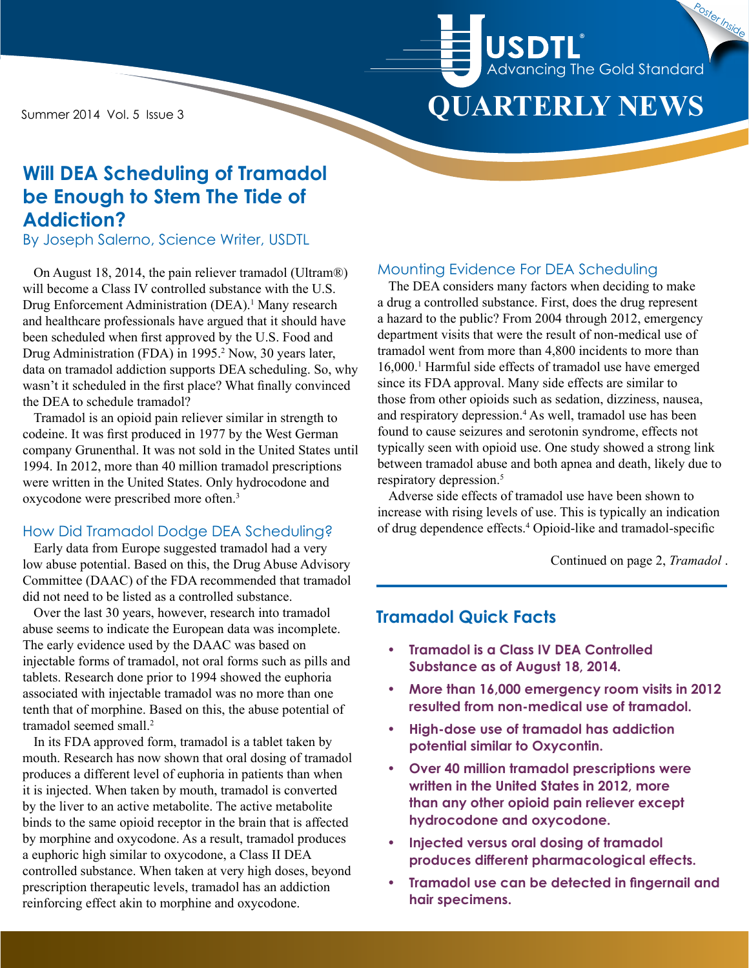Summer 2014 Vol. 5 Issue 3

# **QUARTERLY NEWS** Advancing The Gold Standard **USDTL** Poster Inside

# **Will DEA Scheduling of Tramadol be Enough to Stem The Tide of Addiction?**

By Joseph Salerno, Science Writer, USDTL

On August 18, 2014, the pain reliever tramadol (Ultram®) will become a Class IV controlled substance with the U.S. Drug Enforcement Administration (DEA).<sup>1</sup> Many research and healthcare professionals have argued that it should have been scheduled when first approved by the U.S. Food and Drug Administration (FDA) in 1995.<sup>2</sup> Now, 30 years later, data on tramadol addiction supports DEA scheduling. So, why wasn't it scheduled in the first place? What finally convinced the DEA to schedule tramadol?

Tramadol is an opioid pain reliever similar in strength to codeine. It was first produced in 1977 by the West German company Grunenthal. It was not sold in the United States until 1994. In 2012, more than 40 million tramadol prescriptions were written in the United States. Only hydrocodone and oxycodone were prescribed more often.3

#### How Did Tramadol Dodge DEA Scheduling?

Early data from Europe suggested tramadol had a very low abuse potential. Based on this, the Drug Abuse Advisory Committee (DAAC) of the FDA recommended that tramadol did not need to be listed as a controlled substance.

Over the last 30 years, however, research into tramadol abuse seems to indicate the European data was incomplete. The early evidence used by the DAAC was based on injectable forms of tramadol, not oral forms such as pills and tablets. Research done prior to 1994 showed the euphoria associated with injectable tramadol was no more than one tenth that of morphine. Based on this, the abuse potential of tramadol seemed small.<sup>2</sup>

In its FDA approved form, tramadol is a tablet taken by mouth. Research has now shown that oral dosing of tramadol produces a different level of euphoria in patients than when it is injected. When taken by mouth, tramadol is converted by the liver to an active metabolite. The active metabolite binds to the same opioid receptor in the brain that is affected by morphine and oxycodone. As a result, tramadol produces a euphoric high similar to oxycodone, a Class II DEA controlled substance. When taken at very high doses, beyond prescription therapeutic levels, tramadol has an addiction reinforcing effect akin to morphine and oxycodone.

#### Mounting Evidence For DEA Scheduling

The DEA considers many factors when deciding to make a drug a controlled substance. First, does the drug represent a hazard to the public? From 2004 through 2012, emergency department visits that were the result of non-medical use of tramadol went from more than 4,800 incidents to more than 16,000.1 Harmful side effects of tramadol use have emerged since its FDA approval. Many side effects are similar to those from other opioids such as sedation, dizziness, nausea, and respiratory depression.4 As well, tramadol use has been found to cause seizures and serotonin syndrome, effects not typically seen with opioid use. One study showed a strong link between tramadol abuse and both apnea and death, likely due to respiratory depression.<sup>5</sup>

Adverse side effects of tramadol use have been shown to increase with rising levels of use. This is typically an indication of drug dependence effects.4 Opioid-like and tramadol-specific

Continued on page 2, *Tramadol* .

# **Tramadol Quick Facts**

- **• Tramadol is a Class IV DEA Controlled Substance as of August 18, 2014.**
- **• More than 16,000 emergency room visits in 2012 resulted from non-medical use of tramadol.**
- **• High-dose use of tramadol has addiction potential similar to Oxycontin.**
- **• Over 40 million tramadol prescriptions were written in the United States in 2012, more than any other opioid pain reliever except hydrocodone and oxycodone.**
- **• Injected versus oral dosing of tramadol produces different pharmacological effects.**
- **• Tramadol use can be detected in fingernail and hair specimens.**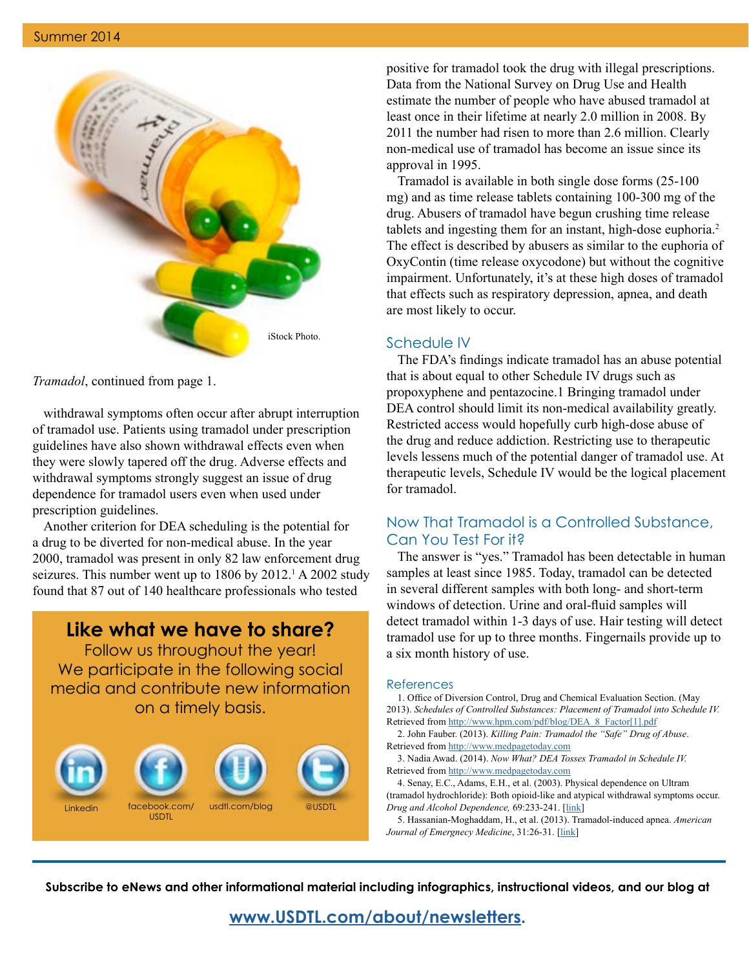

*Tramadol*, continued from page 1.

withdrawal symptoms often occur after abrupt interruption of tramadol use. Patients using tramadol under prescription guidelines have also shown withdrawal effects even when they were slowly tapered off the drug. Adverse effects and withdrawal symptoms strongly suggest an issue of drug dependence for tramadol users even when used under prescription guidelines.

Another criterion for DEA scheduling is the potential for a drug to be diverted for non-medical abuse. In the year 2000, tramadol was present in only 82 law enforcement drug seizures. This number went up to  $1806$  by  $2012<sup>1</sup>$  A 2002 study found that 87 out of 140 healthcare professionals who tested

**Like what we have to share?**

Follow us throughout the year! We participate in the following social media and contribute new information on a timely basis.



positive for tramadol took the drug with illegal prescriptions. Data from the National Survey on Drug Use and Health estimate the number of people who have abused tramadol at least once in their lifetime at nearly 2.0 million in 2008. By 2011 the number had risen to more than 2.6 million. Clearly non-medical use of tramadol has become an issue since its approval in 1995.

Tramadol is available in both single dose forms (25-100 mg) and as time release tablets containing 100-300 mg of the drug. Abusers of tramadol have begun crushing time release tablets and ingesting them for an instant, high-dose euphoria.2 The effect is described by abusers as similar to the euphoria of OxyContin (time release oxycodone) but without the cognitive impairment. Unfortunately, it's at these high doses of tramadol that effects such as respiratory depression, apnea, and death are most likely to occur.

#### Schedule IV

The FDA's findings indicate tramadol has an abuse potential that is about equal to other Schedule IV drugs such as propoxyphene and pentazocine.1 Bringing tramadol under DEA control should limit its non-medical availability greatly. Restricted access would hopefully curb high-dose abuse of the drug and reduce addiction. Restricting use to therapeutic levels lessens much of the potential danger of tramadol use. At therapeutic levels, Schedule IV would be the logical placement for tramadol.

#### Now That Tramadol is a Controlled Substance, Can You Test For it?

The answer is "yes." Tramadol has been detectable in human samples at least since 1985. Today, tramadol can be detected in several different samples with both long- and short-term windows of detection. Urine and oral-fluid samples will detect tramadol within 1-3 days of use. Hair testing will detect tramadol use for up to three months. Fingernails provide up to a six month history of use.

#### References

1. Office of Diversion Control, Drug and Chemical Evaluation Section. (May 2013). *Schedules of Controlled Substances: Placement of Tramadol into Schedule IV.* Retrieved from [http://www.hpm.com/pdf/blog/DEA\\_8\\_Factor\[1\].pdf](http://www.hpm.com/pdf/blog/DEA_8_Factor[1].pdf)

2. John Fauber. (2013). *Killing Pain: Tramadol the "Safe" Drug of Abuse*. Retrieved from <http://www.medpagetoday.com>

3. Nadia Awad. (2014). *Now What? DEA Tosses Tramadol in Schedule IV.* Retrieved from <http://www.medpagetoday.com>

4. Senay, E.C., Adams, E.H., et al. (2003). Physical dependence on Ultram (tramadol hydrochloride): Both opioid-like and atypical withdrawal symptoms occur. *Drug and Alcohol Dependence,* 69:233-241. [[link](http://www.ncbi.nlm.nih.gov/pubmed/12633909)]

5. Hassanian-Moghaddam, H., et al. (2013). Tramadol-induced apnea. *American*  Journal of Emergnecy Medicine, 31:26-31. [\[link\]](http://www.ncbi.nlm.nih.gov/pubmed/22809771)

**Subscribe to eNews and other informational material including infographics, instructional videos, and our blog at** 

**[www.USDTL.com/about/newsletters](http://www.USDTL.com/about/newsletters).**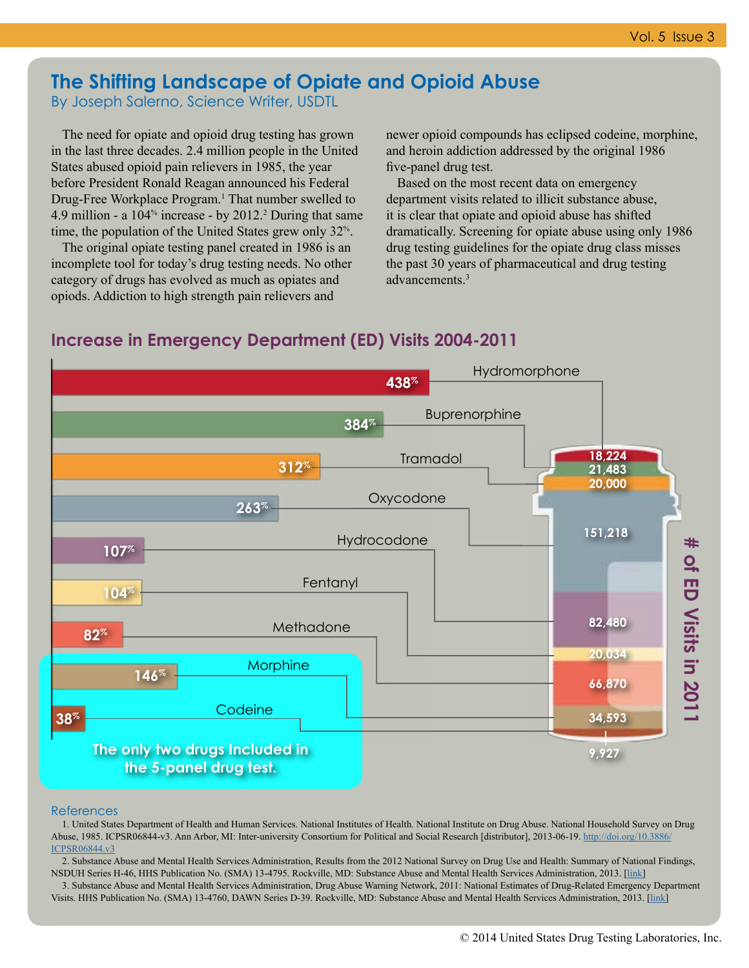### **The Shifting Landscape of Opiate and Opioid Abuse** By Joseph Salerno, Science Writer, USDTL

The need for opiate and opioid drug testing has grown in the last three decades. 2.4 million people in the United States abused opioid pain relievers in 1985, the year before President Ronald Reagan announced his Federal Drug-Free Workplace Program.<sup>1</sup> That number swelled to 4.9 million - a  $104\%$  increase - by 2012.<sup>2</sup> During that same time, the population of the United States grew only 32%.

The original opiate testing panel created in 1986 is an incomplete tool for today's drug testing needs. No other category of drugs has evolved as much as opiates and opiods. Addiction to high strength pain relievers and

newer opioid compounds has eclipsed codeine, morphine, and heroin addiction addressed by the original 1986 five-panel drug test.

Based on the most recent data on emergency department visits related to illicit substance abuse, it is clear that opiate and opioid abuse has shifted dramatically. Screening for opiate abuse using only 1986 drug testing guidelines for the opiate drug class misses the past 30 years of pharmaceutical and drug testing advancements.3

# **Increase in Emergency Department (ED) Visits 2004-2011**



#### References

1. United States Department of Health and Human Services. National Institutes of Health. National Institute on Drug Abuse. National Household Survey on Drug Abuse, 1985. ICPSR06844-v3. Ann Arbor, MI: Inter-university Consortium for Political and Social Research [distributor], 2013-06-19. [http://doi.org/10.3886/](http://doi.org/10.3886/ICPSR06844.v3) [ICPSR06844.v3](http://doi.org/10.3886/ICPSR06844.v3)

2. Substance Abuse and Mental Health Services Administration, Results from the 2012 National Survey on Drug Use and Health: Summary of National Findings, NSDUH Series H-46, HHS Publication No. (SMA) 13-4795. Rockville, MD: Substance Abuse and Mental Health Services Administration, 2013. [[link](http://www.samhsa.gov/data/NSDUH/2012SummNatFindDetTables/NationalFindings/NSDUHresults2012.htm)]

3. Substance Abuse and Mental Health Services Administration, Drug Abuse Warning Network, 2011: National Estimates of Drug-Related Emergency Department Visits. HHS Publication No. (SMA) 13-4760, DAWN Series D-39. Rockville, MD: Substance Abuse and Mental Health Services Administration, 2013. [[link](http://www.samhsa.gov/data/2k13/DAWN2k11ED/DAWN2k11ED.htm)]